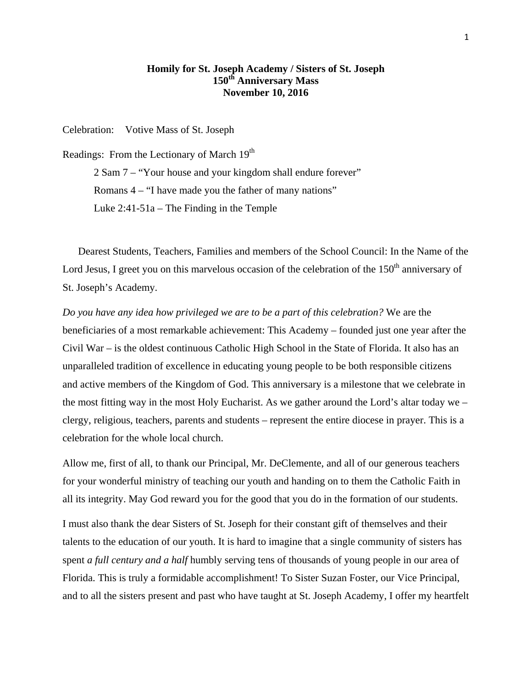## **Homily for St. Joseph Academy / Sisters of St. Joseph 150th Anniversary Mass November 10, 2016**

Celebration: Votive Mass of St. Joseph

Readings: From the Lectionary of March  $19<sup>th</sup>$ 2 Sam 7 – "Your house and your kingdom shall endure forever" Romans 4 – "I have made you the father of many nations" Luke 2:41-51a – The Finding in the Temple

 Dearest Students, Teachers, Families and members of the School Council: In the Name of the Lord Jesus, I greet you on this marvelous occasion of the celebration of the  $150<sup>th</sup>$  anniversary of St. Joseph's Academy.

*Do you have any idea how privileged we are to be a part of this celebration?* We are the beneficiaries of a most remarkable achievement: This Academy – founded just one year after the Civil War – is the oldest continuous Catholic High School in the State of Florida. It also has an unparalleled tradition of excellence in educating young people to be both responsible citizens and active members of the Kingdom of God. This anniversary is a milestone that we celebrate in the most fitting way in the most Holy Eucharist. As we gather around the Lord's altar today we – clergy, religious, teachers, parents and students – represent the entire diocese in prayer. This is a celebration for the whole local church.

Allow me, first of all, to thank our Principal, Mr. DeClemente, and all of our generous teachers for your wonderful ministry of teaching our youth and handing on to them the Catholic Faith in all its integrity. May God reward you for the good that you do in the formation of our students.

I must also thank the dear Sisters of St. Joseph for their constant gift of themselves and their talents to the education of our youth. It is hard to imagine that a single community of sisters has spent *a full century and a half* humbly serving tens of thousands of young people in our area of Florida. This is truly a formidable accomplishment! To Sister Suzan Foster, our Vice Principal, and to all the sisters present and past who have taught at St. Joseph Academy, I offer my heartfelt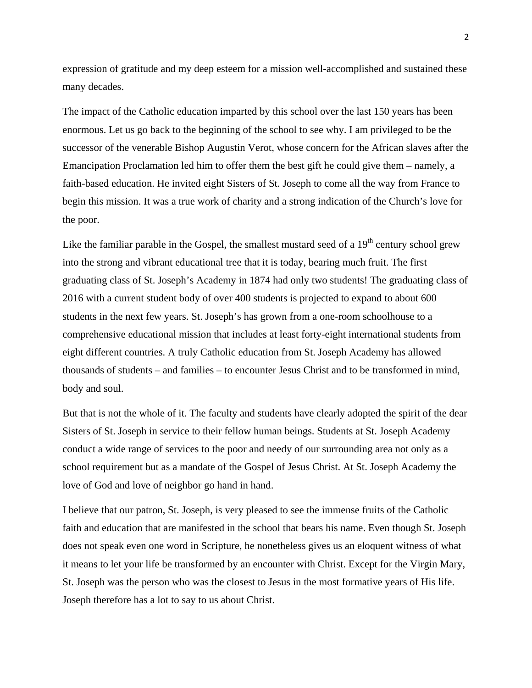expression of gratitude and my deep esteem for a mission well-accomplished and sustained these many decades.

The impact of the Catholic education imparted by this school over the last 150 years has been enormous. Let us go back to the beginning of the school to see why. I am privileged to be the successor of the venerable Bishop Augustin Verot, whose concern for the African slaves after the Emancipation Proclamation led him to offer them the best gift he could give them – namely, a faith-based education. He invited eight Sisters of St. Joseph to come all the way from France to begin this mission. It was a true work of charity and a strong indication of the Church's love for the poor.

Like the familiar parable in the Gospel, the smallest mustard seed of a  $19<sup>th</sup>$  century school grew into the strong and vibrant educational tree that it is today, bearing much fruit. The first graduating class of St. Joseph's Academy in 1874 had only two students! The graduating class of 2016 with a current student body of over 400 students is projected to expand to about 600 students in the next few years. St. Joseph's has grown from a one-room schoolhouse to a comprehensive educational mission that includes at least forty-eight international students from eight different countries. A truly Catholic education from St. Joseph Academy has allowed thousands of students – and families – to encounter Jesus Christ and to be transformed in mind, body and soul.

But that is not the whole of it. The faculty and students have clearly adopted the spirit of the dear Sisters of St. Joseph in service to their fellow human beings. Students at St. Joseph Academy conduct a wide range of services to the poor and needy of our surrounding area not only as a school requirement but as a mandate of the Gospel of Jesus Christ. At St. Joseph Academy the love of God and love of neighbor go hand in hand.

I believe that our patron, St. Joseph, is very pleased to see the immense fruits of the Catholic faith and education that are manifested in the school that bears his name. Even though St. Joseph does not speak even one word in Scripture, he nonetheless gives us an eloquent witness of what it means to let your life be transformed by an encounter with Christ. Except for the Virgin Mary, St. Joseph was the person who was the closest to Jesus in the most formative years of His life. Joseph therefore has a lot to say to us about Christ.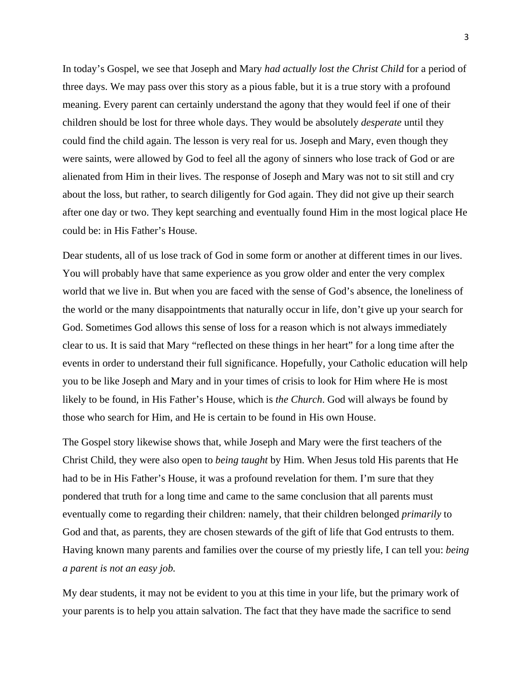In today's Gospel, we see that Joseph and Mary *had actually lost the Christ Child* for a period of three days. We may pass over this story as a pious fable, but it is a true story with a profound meaning. Every parent can certainly understand the agony that they would feel if one of their children should be lost for three whole days. They would be absolutely *desperate* until they could find the child again. The lesson is very real for us. Joseph and Mary, even though they were saints, were allowed by God to feel all the agony of sinners who lose track of God or are alienated from Him in their lives. The response of Joseph and Mary was not to sit still and cry about the loss, but rather, to search diligently for God again. They did not give up their search after one day or two. They kept searching and eventually found Him in the most logical place He could be: in His Father's House.

Dear students, all of us lose track of God in some form or another at different times in our lives. You will probably have that same experience as you grow older and enter the very complex world that we live in. But when you are faced with the sense of God's absence, the loneliness of the world or the many disappointments that naturally occur in life, don't give up your search for God. Sometimes God allows this sense of loss for a reason which is not always immediately clear to us. It is said that Mary "reflected on these things in her heart" for a long time after the events in order to understand their full significance. Hopefully, your Catholic education will help you to be like Joseph and Mary and in your times of crisis to look for Him where He is most likely to be found, in His Father's House, which is *the Church*. God will always be found by those who search for Him, and He is certain to be found in His own House.

The Gospel story likewise shows that, while Joseph and Mary were the first teachers of the Christ Child, they were also open to *being taught* by Him. When Jesus told His parents that He had to be in His Father's House, it was a profound revelation for them. I'm sure that they pondered that truth for a long time and came to the same conclusion that all parents must eventually come to regarding their children: namely, that their children belonged *primarily* to God and that, as parents, they are chosen stewards of the gift of life that God entrusts to them. Having known many parents and families over the course of my priestly life, I can tell you: *being a parent is not an easy job.* 

My dear students, it may not be evident to you at this time in your life, but the primary work of your parents is to help you attain salvation. The fact that they have made the sacrifice to send